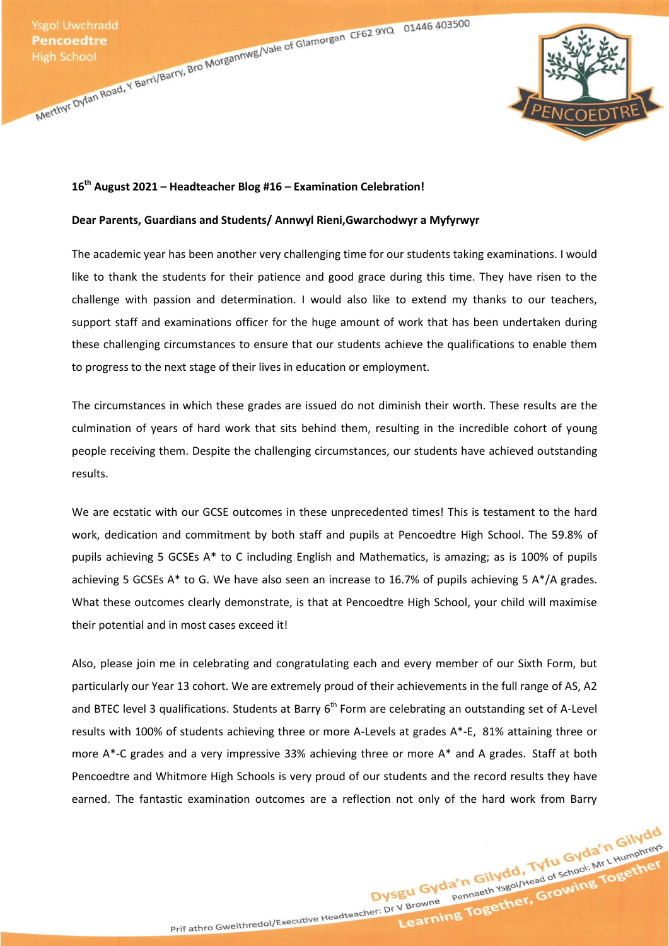Ysgol Uwchradd<br>
Pencoedtre<br>
High School<br>
Merthyr Dyfan Road, Y Barri/Barry, Bro Morgannwg/Vale of Glamorgan CF62 9YQ<br>
Merthyr Dyfan Road, Y Barri/Barry, Bro Morgannwg/Vale of Glamorgan CF62 9YQ<br>
Merthyr Dyfan Road, Y Barri



## **16th August 2021 – Headteacher Blog #16 – Examination Celebration!**

## **Dear Parents, Guardians and Students/ Annwyl Rieni,Gwarchodwyr a Myfyrwyr**

The academic year has been another very challenging time for our students taking examinations. I would like to thank the students for their patience and good grace during this time. They have risen to the challenge with passion and determination. I would also like to extend my thanks to our teachers, support staff and examinations officer for the huge amount of work that has been undertaken during these challenging circumstances to ensure that our students achieve the qualifications to enable them to progress to the next stage of their lives in education or employment.

The circumstances in which these grades are issued do not diminish their worth. These results are the culmination of years of hard work that sits behind them, resulting in the incredible cohort of young people receiving them. Despite the challenging circumstances, our students have achieved outstanding results.

We are ecstatic with our GCSE outcomes in these unprecedented times! This is testament to the hard work, dedication and commitment by both staff and pupils at Pencoedtre High School. The 59.8% of pupils achieving 5 GCSEs A\* to C including English and Mathematics, is amazing; as is 100% of pupils achieving 5 GCSEs A\* to G. We have also seen an increase to 16.7% of pupils achieving 5 A\*/A grades. What these outcomes clearly demonstrate, is that at Pencoedtre High School, your child will maximise their potential and in most cases exceed it!

Also, please join me in celebrating and congratulating each and every member of our Sixth Form, but particularly our Year 13 cohort. We are extremely proud of their achievements in the full range of AS, A2 and BTEC level 3 qualifications. Students at Barry 6<sup>th</sup> Form are celebrating an outstanding set of A-Level results with 100% of students achieving three or more A-Levels at grades A\*-E, 81% attaining three or more A\*-C grades and a very impressive 33% achieving three or more A\* and A grades. Staff at both Pencoedtre and Whitmore High Schools is very proud of our students and the record results they have earned. The fantastic examination outcomes are a reflection not only of the hard work from Barry

Dysgu Gyda'n Gilydd, Tyfu Gyda'n Gilydd<br>Dysgu Gyda'n Gilydd, Tyfu Gyda'n Gilydd<br>Dysgu Gyda'n Gilydd, Tyfu Gyda'n Gilydd<br>Pennaeth Ysgol/Head of School: Mr L Humphreys

a'n Gilydd, Tyfu Gyda'n Gilydd<br>Pennaeth Ysgol/Head of School: Mr L Humphreys